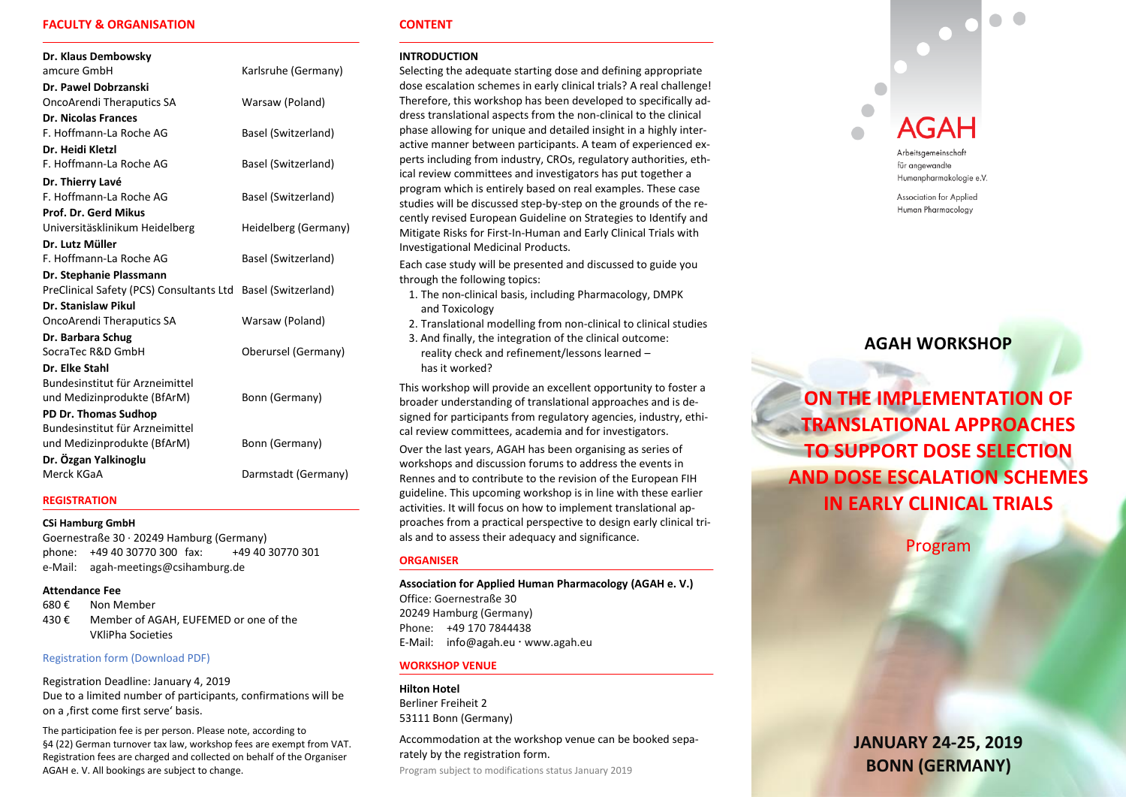# **FACULTY & ORGANISATION**

| Dr. Klaus Dembowsky                                          |                      |
|--------------------------------------------------------------|----------------------|
| amcure GmbH                                                  | Karlsruhe (Germany)  |
| Dr. Pawel Dobrzanski                                         |                      |
| <b>OncoArendi Theraputics SA</b>                             | Warsaw (Poland)      |
| <b>Dr. Nicolas Frances</b>                                   |                      |
| F. Hoffmann-La Roche AG                                      | Basel (Switzerland)  |
| Dr. Heidi Kletzl                                             |                      |
| F. Hoffmann-La Roche AG                                      | Basel (Switzerland)  |
| Dr. Thierry Lavé                                             |                      |
| F. Hoffmann-La Roche AG                                      | Basel (Switzerland)  |
| Prof. Dr. Gerd Mikus                                         |                      |
| Universitäsklinikum Heidelberg                               | Heidelberg (Germany) |
| Dr. Lutz Müller                                              |                      |
| F. Hoffmann-La Roche AG                                      | Basel (Switzerland)  |
| Dr. Stephanie Plassmann                                      |                      |
| PreClinical Safety (PCS) Consultants Ltd Basel (Switzerland) |                      |
| Dr. Stanislaw Pikul                                          |                      |
| <b>OncoArendi Theraputics SA</b>                             | Warsaw (Poland)      |
| Dr. Barbara Schug                                            |                      |
| SocraTec R&D GmbH                                            | Oberursel (Germany)  |
| Dr. Elke Stahl                                               |                      |
| Bundesinstitut für Arzneimittel                              |                      |
| und Medizinprodukte (BfArM)                                  | Bonn (Germany)       |
| PD Dr. Thomas Sudhop                                         |                      |
| Bundesinstitut für Arzneimittel                              |                      |
| und Medizinprodukte (BfArM)                                  | Bonn (Germany)       |
| Dr. Özgan Yalkinoglu                                         |                      |
| Merck KGaA                                                   | Darmstadt (Germany)  |

#### **REGISTRATION**

### **CSi Hamburg GmbH**

Goernestraße 30 · 20249 Hamburg (Germany) phone: +49 40 30770 300 fax: +49 40 30770 301 e-Mail: agah-meetings@csihamburg.de

### **Attendance Fee**

680 € Non Member 430 € Member of AGAH, EUFEMED or one of the VKliPha Societies

### [Registration form \(Download PDF\)](https://www.agah.eu/fileadmin/files/user_upload/Registration_Form_AGAH_Translational_Workshop_2019.pdf)

Registration Deadline: January 4, 2019 Due to a limited number of participants, confirmations will be on a , first come first serve' basis.

The participation fee is per person. Please note, according to §4 (22) German turnover tax law, workshop fees are exempt from VAT. Registration fees are charged and collected on behalf of the Organiser AGAH e. V. All bookings are subject to change.

### **CONTENT**

#### **INTRODUCTION**

Selecting the adequate starting dose and defining appropriate dose escalation schemes in early clinical trials? A real challenge! Therefore, this workshop has been developed to specifically address translational aspects from the non-clinical to the clinical phase allowing for unique and detailed insight in a highly interactive manner between participants. A team of experienced experts including from industry, CROs, regulatory authorities, ethical review committees and investigators has put together a program which is entirely based on real examples. These case studies will be discussed step-by-step on the grounds of the recently revised European Guideline on Strategies to Identify and Mitigate Risks for First-In-Human and Early Clinical Trials with Investigational Medicinal Products.

Each case study will be presented and discussed to guide you through the following topics:

- 1. The non-clinical basis, including Pharmacology, DMPK and Toxicology
- 2. Translational modelling from non-clinical to clinical studies
- 3. And finally, the integration of the clinical outcome: reality check and refinement/lessons learned – has it worked?

This workshop will provide an excellent opportunity to foster a broader understanding of translational approaches and is designed for participants from regulatory agencies, industry, ethical review committees, academia and for investigators. Over the last years, AGAH has been organising as series of workshops and discussion forums to address the events in Rennes and to contribute to the revision of the European FIH guideline. This upcoming workshop is in line with these earlier activities. It will focus on how to implement translational approaches from a practical perspective to design early clinical trials and to assess their adequacy and significance.

### **ORGANISER**

**Association for Applied Human Pharmacology (AGAH e. V.)** Office: Goernestraße 30 20249 Hamburg (Germany) Phone: +49 170 7844438 E-Mail: [info@agah.eu](mailto:info@agah.eu) www.agah.eu

### **WORKSHOP VENUE**

### **Hilton Hotel**

Berliner Freiheit 2 53111 Bonn (Germany)

Accommodation at the workshop venue can be booked separately by the registration form.

Program subject to modifications status January 2019

# **AGAH**

Arbeitsgemeinschaft für angewandte Humanpharmakologie e.V.

 $\begin{array}{c} \bullet \\ \bullet \end{array}$ 

Association for Applied Human Pharmacology

# **AGAH WORKSHOP**

**ON THE IMPLEMENTATION OF TRANSLATIONAL APPROACHES TO SUPPORT DOSE SELECTION AND DOSE ESCALATION SCHEMES IN EARLY CLINICAL TRIALS**

Program

# **JANUARY 24-25, 2019 BONN (GERMANY)**